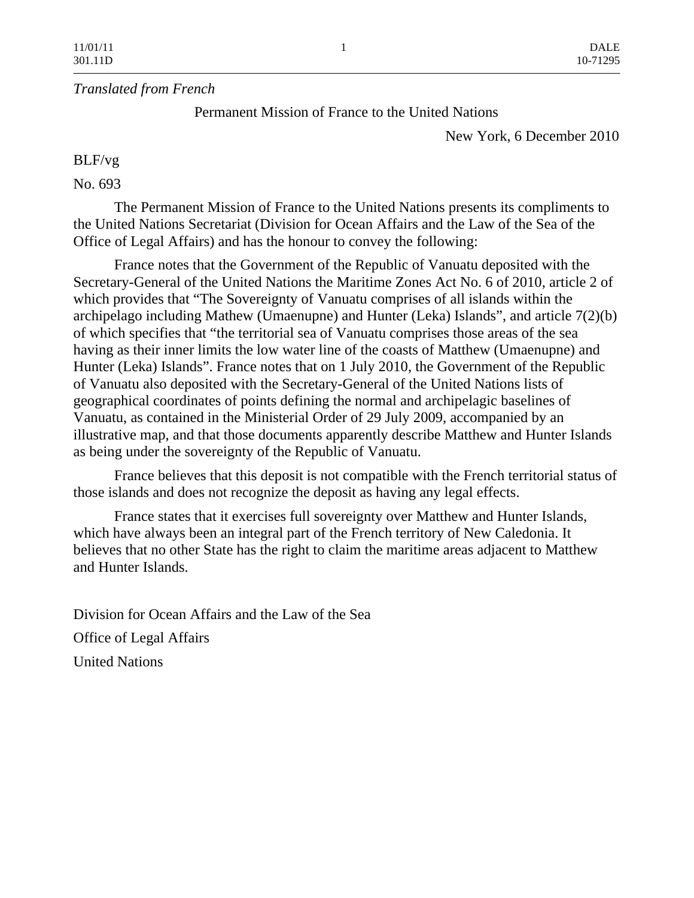## *Translated from French*

Permanent Mission of France to the United Nations

New York, 6 December 2010

## BLF/vg

## No. 693

 The Permanent Mission of France to the United Nations presents its compliments to the United Nations Secretariat (Division for Ocean Affairs and the Law of the Sea of the Office of Legal Affairs) and has the honour to convey the following:

 France notes that the Government of the Republic of Vanuatu deposited with the Secretary-General of the United Nations the Maritime Zones Act No. 6 of 2010, article 2 of which provides that "The Sovereignty of Vanuatu comprises of all islands within the archipelago including Mathew (Umaenupne) and Hunter (Leka) Islands", and article 7(2)(b) of which specifies that "the territorial sea of Vanuatu comprises those areas of the sea having as their inner limits the low water line of the coasts of Matthew (Umaenupne) and Hunter (Leka) Islands". France notes that on 1 July 2010, the Government of the Republic of Vanuatu also deposited with the Secretary-General of the United Nations lists of geographical coordinates of points defining the normal and archipelagic baselines of Vanuatu, as contained in the Ministerial Order of 29 July 2009, accompanied by an illustrative map, and that those documents apparently describe Matthew and Hunter Islands as being under the sovereignty of the Republic of Vanuatu.

 France believes that this deposit is not compatible with the French territorial status of those islands and does not recognize the deposit as having any legal effects.

 France states that it exercises full sovereignty over Matthew and Hunter Islands, which have always been an integral part of the French territory of New Caledonia. It believes that no other State has the right to claim the maritime areas adjacent to Matthew and Hunter Islands.

Division for Ocean Affairs and the Law of the Sea Office of Legal Affairs United Nations